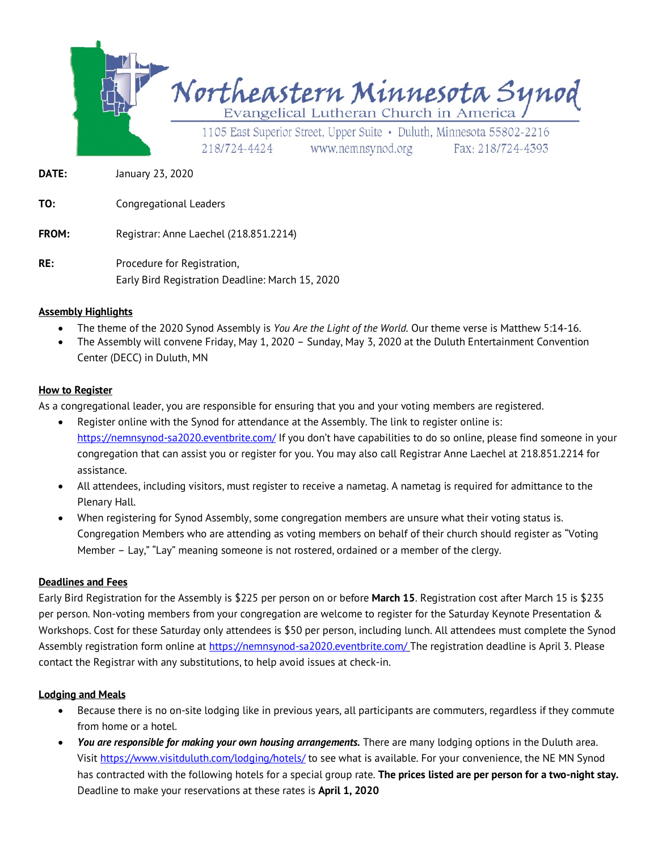

**DATE:** January 23, 2020

**TO:** Congregational Leaders

**FROM:** Registrar: Anne Laechel (218.851.2214)

**RE:** Procedure for Registration, Early Bird Registration Deadline: March 15, 2020

#### **Assembly Highlights**

- The theme of the 2020 Synod Assembly is *You Are the Light of the World.* Our theme verse is Matthew 5:14-16.
- The Assembly will convene Friday, May 1, 2020 Sunday, May 3, 2020 at the Duluth Entertainment Convention Center (DECC) in Duluth, MN

#### **How to Register**

As a congregational leader, you are responsible for ensuring that you and your voting members are registered.

- Register online with the Synod for attendance at the Assembly. The link to register online is: https://nemnsynod-sa2020.eventbrite.com/ If you don't have capabilities to do so online, please find someone in your congregation that can assist you or register for you. You may also call Registrar Anne Laechel at 218.851.2214 for assistance.
- All attendees, including visitors, must register to receive a nametag. A nametag is required for admittance to the Plenary Hall.
- When registering for Synod Assembly, some congregation members are unsure what their voting status is. Congregation Members who are attending as voting members on behalf of their church should register as "Voting Member – Lay," "Lay" meaning someone is not rostered, ordained or a member of the clergy.

#### **Deadlines and Fees**

Early Bird Registration for the Assembly is \$225 per person on or before **March 15**. Registration cost after March 15 is \$235 per person. Non-voting members from your congregation are welcome to register for the Saturday Keynote Presentation & Workshops. Cost for these Saturday only attendees is \$50 per person, including lunch. All attendees must complete the Synod Assembly registration form online at https://nemnsynod-sa2020.eventbrite.com/ The registration deadline is April 3. Please contact the Registrar with any substitutions, to help avoid issues at check-in.

#### **Lodging and Meals**

- Because there is no on-site lodging like in previous years, all participants are commuters, regardless if they commute from home or a hotel.
- *You are responsible for making your own housing arrangements.* There are many lodging options in the Duluth area. Visit https://www.visitduluth.com/lodging/hotels/ to see what is available. For your convenience, the NE MN Synod has contracted with the following hotels for a special group rate. **The prices listed are per person for a two-night stay.** Deadline to make your reservations at these rates is **April 1, 2020**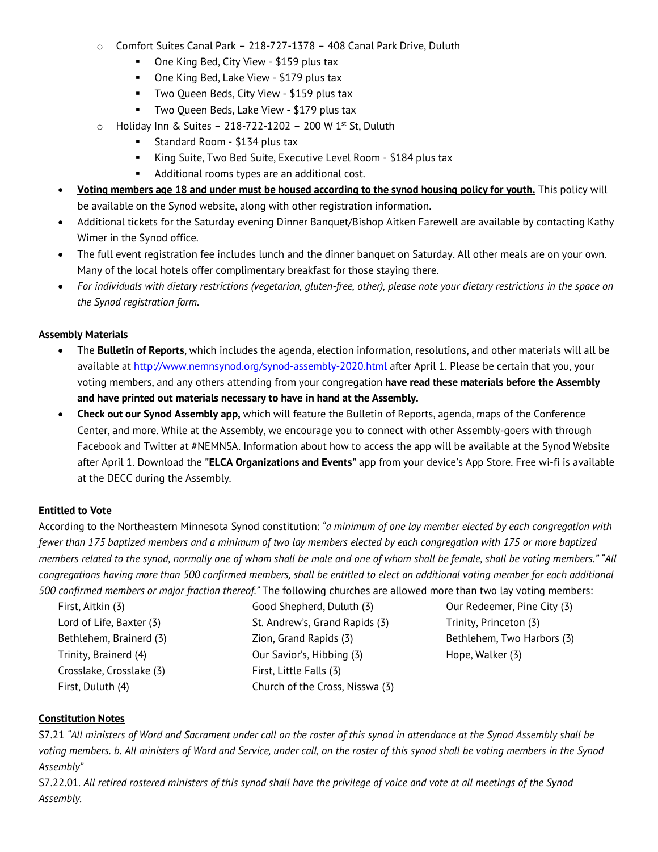- o Comfort Suites Canal Park 218-727-1378 408 Canal Park Drive, Duluth
	- One King Bed, City View \$159 plus tax
	- One King Bed, Lake View \$179 plus tax
	- Two Queen Beds, City View \$159 plus tax
	- Two Queen Beds, Lake View \$179 plus tax
- $\circ$  Holiday Inn & Suites 218-722-1202 200 W 1st St, Duluth
	- Standard Room \$134 plus tax
	- King Suite, Two Bed Suite, Executive Level Room \$184 plus tax
	- Additional rooms types are an additional cost.
- **Voting members age 18 and under must be housed according to the synod housing policy for youth.** This policy will be available on the Synod website, along with other registration information.
- Additional tickets for the Saturday evening Dinner Banquet/Bishop Aitken Farewell are available by contacting Kathy Wimer in the Synod office.
- The full event registration fee includes lunch and the dinner banquet on Saturday. All other meals are on your own. Many of the local hotels offer complimentary breakfast for those staying there.
- *For individuals with dietary restrictions (vegetarian, gluten-free, other), please note your dietary restrictions in the space on the Synod registration form.*

### **Assembly Materials**

- The **Bulletin of Reports**, which includes the agenda, election information, resolutions, and other materials will all be available at http://www.nemnsynod.org/synod-assembly-2020.html after April 1. Please be certain that you, your voting members, and any others attending from your congregation **have read these materials before the Assembly and have printed out materials necessary to have in hand at the Assembly.**
- **Check out our Synod Assembly app,** which will feature the Bulletin of Reports, agenda, maps of the Conference Center, and more. While at the Assembly, we encourage you to connect with other Assembly-goers with through Facebook and Twitter at #NEMNSA. Information about how to access the app will be available at the Synod Website after April 1. Download the **"ELCA Organizations and Events"** app from your device's App Store. Free wi-fi is available at the DECC during the Assembly.

### **Entitled to Vote**

According to the Northeastern Minnesota Synod constitution: *"a minimum of one lay member elected by each congregation with fewer than 175 baptized members and a minimum of two lay members elected by each congregation with 175 or more baptized members related to the synod, normally one of whom shall be male and one of whom shall be female, shall be voting members." "All congregations having more than 500 confirmed members, shall be entitled to elect an additional voting member for each additional 500 confirmed members or major fraction thereof."* The following churches are allowed more than two lay voting members:

| First, Aitkin (3)        |
|--------------------------|
| Lord of Life, Baxter (3) |
| Bethlehem, Brainerd (3)  |
| Trinity, Brainerd (4)    |
| Crosslake, Crosslake (3) |
| First, Duluth (4)        |

Good Shepherd, Duluth (3) St. Andrew's, Grand Rapids (3) Zion, Grand Rapids (3) Our Savior's, Hibbing (3) First, Little Falls (3) Church of the Cross, Nisswa (3)

Our Redeemer, Pine City (3) Trinity, Princeton (3) Bethlehem, Two Harbors (3) Hope, Walker (3)

### **Constitution Notes**

S7.21 *"All ministers of Word and Sacrament under call on the roster of this synod in attendance at the Synod Assembly shall be voting members. b. All ministers of Word and Service, under call, on the roster of this synod shall be voting members in the Synod Assembly"*

S7.22.01. *All retired rostered ministers of this synod shall have the privilege of voice and vote at all meetings of the Synod Assembly.*